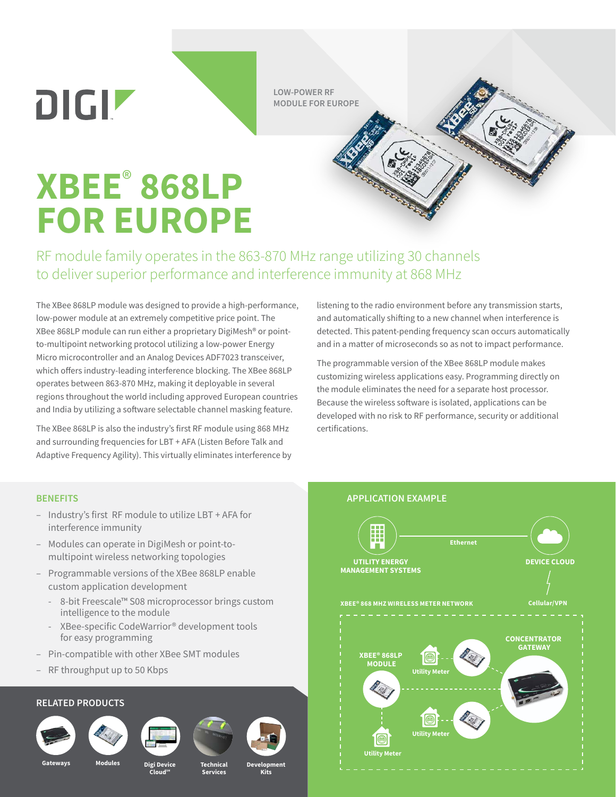$D[G]$ 

**LOW-POWER RF MODULE FOR EUROPE**

## **XBEE**®  **868LP FOR EUROPE**

RF module family operates in the 863-870 MHz range utilizing 30 channels to deliver superior performance and interference immunity at 868 MHz

The XBee 868LP module was designed to provide a high-performance, low-power module at an extremely competitive price point. The XBee 868LP module can run either a proprietary DigiMesh® or pointto-multipoint networking protocol utilizing a low-power Energy Micro microcontroller and an Analog Devices ADF7023 transceiver, which offers industry-leading interference blocking. The XBee 868LP operates between 863-870 MHz, making it deployable in several regions throughout the world including approved European countries and India by utilizing a software selectable channel masking feature.

The XBee 868LP is also the industry's first RF module using 868 MHz and surrounding frequencies for LBT + AFA (Listen Before Talk and Adaptive Frequency Agility). This virtually eliminates interference by listening to the radio environment before any transmission starts, and automatically shifting to a new channel when interference is detected. This patent-pending frequency scan occurs automatically and in a matter of microseconds so as not to impact performance.

The programmable version of the XBee 868LP module makes customizing wireless applications easy. Programming directly on the module eliminates the need for a separate host processor. Because the wireless software is isolated, applications can be developed with no risk to RF performance, security or additional certifications.

- Industry's first RF module to utilize LBT + AFA for interference immunity
- Modules can operate in DigiMesh or point-tomultipoint wireless networking topologies
- Programmable versions of the XBee 868LP enable custom application development
	- 8-bit Freescale™ S08 microprocessor brings custom intelligence to the module
	- XBee-specific CodeWarrior® development tools for easy programming
- Pin-compatible with other XBee SMT modules
- RF throughput up to 50 Kbps

## **RELATED PRODUCTS**







**CloudSM**



**Technical Services**



**Kits**



**Gateways Modules Digi Device**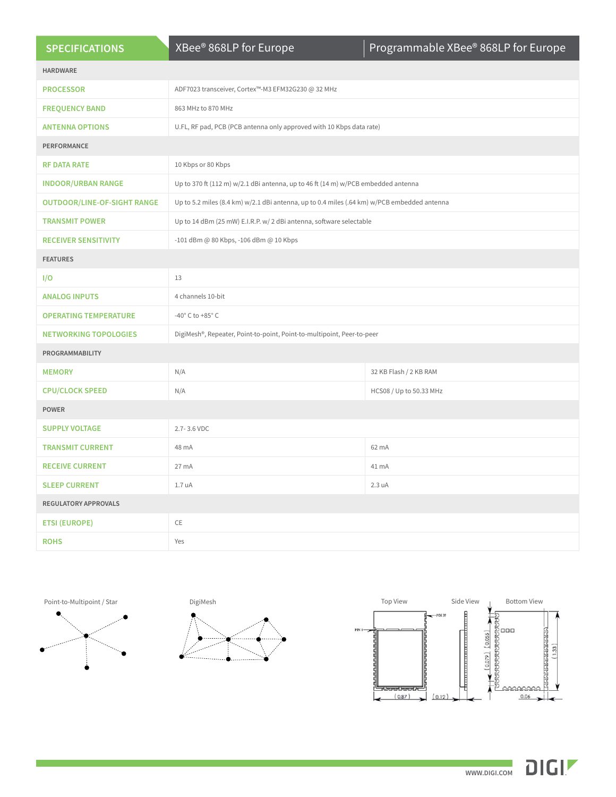| <b>SPECIFICATIONS</b>              | XBee® 868LP for Europe                                                                      | Programmable XBee® 868LP for Europe |
|------------------------------------|---------------------------------------------------------------------------------------------|-------------------------------------|
| <b>HARDWARE</b>                    |                                                                                             |                                     |
| <b>PROCESSOR</b>                   | ADF7023 transceiver, Cortex™-M3 EFM32G230 @ 32 MHz                                          |                                     |
| <b>FREQUENCY BAND</b>              | 863 MHz to 870 MHz                                                                          |                                     |
| <b>ANTENNA OPTIONS</b>             | U.FL, RF pad, PCB (PCB antenna only approved with 10 Kbps data rate)                        |                                     |
| PERFORMANCE                        |                                                                                             |                                     |
| <b>RF DATA RATE</b>                | 10 Kbps or 80 Kbps                                                                          |                                     |
| <b>INDOOR/URBAN RANGE</b>          | Up to 370 ft (112 m) w/2.1 dBi antenna, up to 46 ft (14 m) w/PCB embedded antenna           |                                     |
| <b>OUTDOOR/LINE-OF-SIGHT RANGE</b> | Up to 5.2 miles (8.4 km) w/2.1 dBi antenna, up to 0.4 miles (.64 km) w/PCB embedded antenna |                                     |
| <b>TRANSMIT POWER</b>              | Up to 14 dBm (25 mW) E.I.R.P. w/ 2 dBi antenna, software selectable                         |                                     |
| <b>RECEIVER SENSITIVITY</b>        | -101 dBm @ 80 Kbps, -106 dBm @ 10 Kbps                                                      |                                     |
| <b>FEATURES</b>                    |                                                                                             |                                     |
| I/O                                | 13                                                                                          |                                     |
| <b>ANALOG INPUTS</b>               | 4 channels 10-bit                                                                           |                                     |
| <b>OPERATING TEMPERATURE</b>       | -40 $^{\circ}$ C to +85 $^{\circ}$ C                                                        |                                     |
| <b>NETWORKING TOPOLOGIES</b>       | DigiMesh®, Repeater, Point-to-point, Point-to-multipoint, Peer-to-peer                      |                                     |
| PROGRAMMABILITY                    |                                                                                             |                                     |
| <b>MEMORY</b>                      | N/A                                                                                         | 32 KB Flash / 2 KB RAM              |
| <b>CPU/CLOCK SPEED</b>             | N/A                                                                                         | HCS08 / Up to 50.33 MHz             |
| <b>POWER</b>                       |                                                                                             |                                     |
| <b>SUPPLY VOLTAGE</b>              | 2.7-3.6 VDC                                                                                 |                                     |
| <b>TRANSMIT CURRENT</b>            | 48 mA                                                                                       | 62 mA                               |
| <b>RECEIVE CURRENT</b>             | 27 mA                                                                                       | 41 mA                               |
| <b>SLEEP CURRENT</b>               | 1.7 uA                                                                                      | 2.3 uA                              |
| <b>REGULATORY APPROVALS</b>        |                                                                                             |                                     |
| <b>ETSI (EUROPE)</b>               | CE                                                                                          |                                     |
| <b>ROHS</b>                        | Yes                                                                                         |                                     |